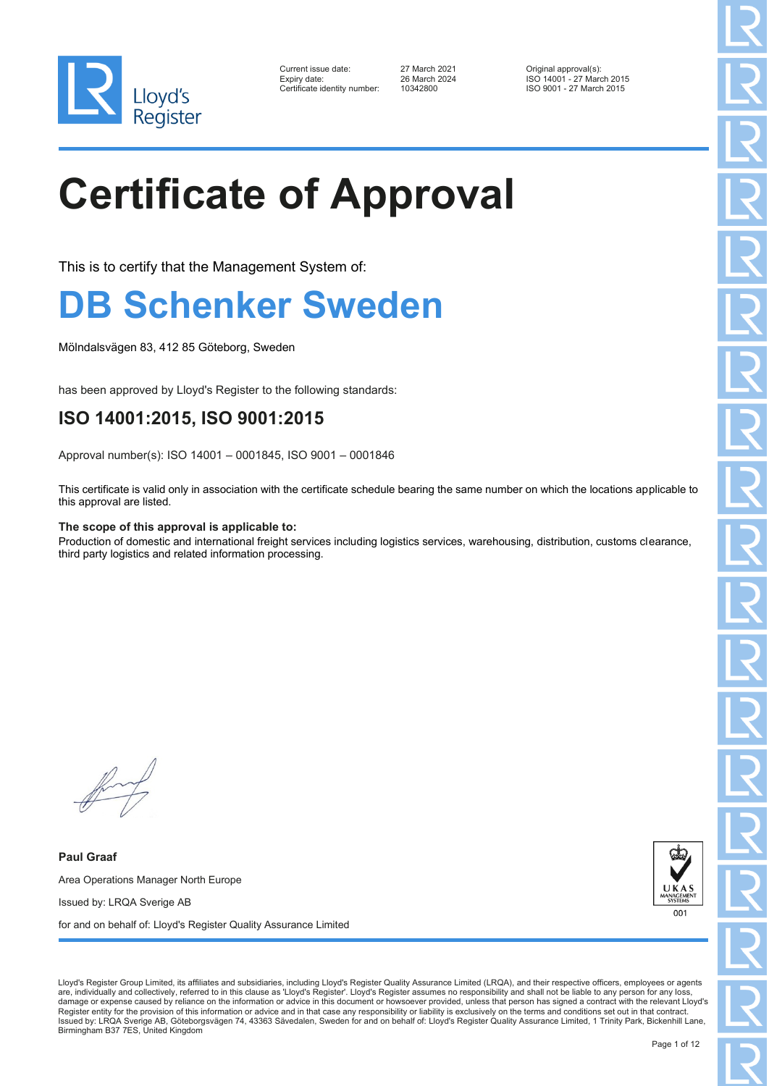

| Current issue date:        |
|----------------------------|
| Expiry date:               |
| Certificate identity numbe |

27 March 2021 **Current issue data Current issues Container** 27 March 2024 **Current issues Container** 27 March 2019<br>ISO 14001 - 27 March 2024 Expiry date: 26 March 2024 ISO 14001 - 27 March 2015 Pr: 10342800 ISO 9001 - 27 March 2015

#### **Certificate of Approval**

This is to certify that the Management System of:

#### **B Schenker Sweden**

Mölndalsvägen 83, 412 85 Göteborg, Sweden

has been approved by Lloyd's Register to the following standards:

#### **ISO 14001:2015, ISO 9001:2015**

Approval number(s): ISO 14001 – 0001845, ISO 9001 – 0001846

This certificate is valid only in association with the certificate schedule bearing the same number on which the locations applicable to this approval are listed.

#### **The scope of this approval is applicable to:**

Production of domestic and international freight services including logistics services, warehousing, distribution, customs clearance, third party logistics and related information processing.

**Paul Graaf** Area Operations Manager North Europe Issued by: LRQA Sverige AB for and on behalf of: Lloyd's Register Quality Assurance Limited



Lloyd's Register Group Limited, its affiliates and subsidiaries, including Lloyd's Register Quality Assurance Limited (LRQA), and their respective officers, employees or agents are, individually and collectively, referred to in this clause as 'Lloyd's Register'. Lloyd's Register assumes no responsibility and shall not be liable to any person for any loss, damage or expense caused by reliance on the information or advice in this document or howsoever provided, unless that person has signed a contract with the relevant Lloyd's Register entity for the provision of this information or advice and in that case any responsibility or liability is exclusively on the terms and conditions set out in that contract.<br>Issued by: LRQA Sverige AB, Göteborgsväg Birmingham B37 7ES, United Kingdom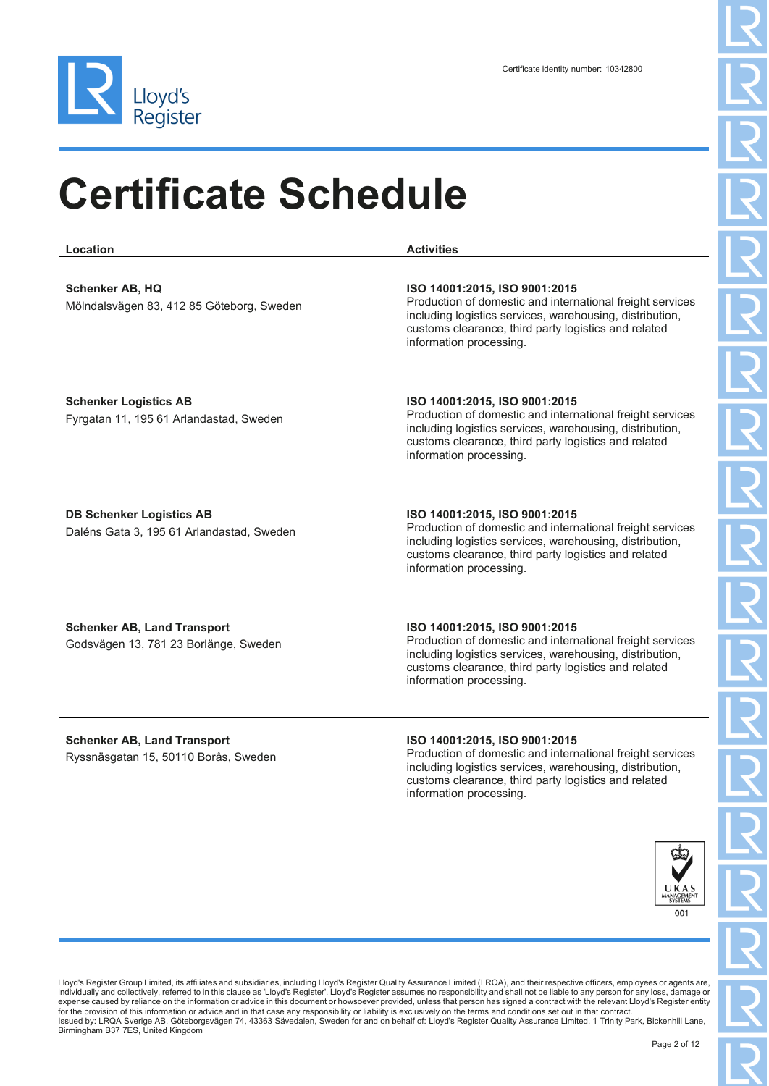

**Location Activities Schenker AB, HQ** Mölndalsvägen 83, 412 85 Göteborg, Sweden **ISO 14001:2015, ISO 9001:2015** Production of domestic and international freight services including logistics services, warehousing, distribution, customs clearance, third party logistics and related information processing. **Schenker Logistics AB** Fyrgatan 11, 195 61 Arlandastad, Sweden **ISO 14001:2015, ISO 9001:2015** Production of domestic and international freight services including logistics services, warehousing, distribution, customs clearance, third party logistics and related information processing. **DB Schenker Logistics AB** Daléns Gata 3, 195 61 Arlandastad, Sweden **ISO 14001:2015, ISO 9001:2015** Production of domestic and international freight services including logistics services, warehousing, distribution, customs clearance, third party logistics and related information processing. **Schenker AB, Land Transport** Godsvägen 13, 781 23 Borlänge, Sweden **ISO 14001:2015, ISO 9001:2015** Production of domestic and international freight services including logistics services, warehousing, distribution, customs clearance, third party logistics and related information processing. **Schenker AB, Land Transport** Ryssnäsgatan 15, 50110 Borås, Sweden **ISO 14001:2015, ISO 9001:2015** Production of domestic and international freight services including logistics services, warehousing, distribution, customs clearance, third party logistics and related information processing.



Lloyd's Register Group Limited, its affiliates and subsidiaries, including Lloyd's Register Quality Assurance Limited (LRQA), and their respective officers, employees or agents are, individually and collectively, referred to in this clause as 'Lloyd's Register'. Lloyd's Register assumes no responsibility and shall not be liable to any person for any loss, damage or expense caused by reliance on the information or advice in this document or howsoever provided, unless that person has signed a contract with the relevant Lloyd's Register entity for the provision of this information or advice and in that case any responsibility or liability is exclusively on the terms and conditions set out in that contract.<br>Issued by: LRQA Sverige AB, Göteborgsvägen 74, 43363 Säv Birmingham B37 7ES, United Kingdom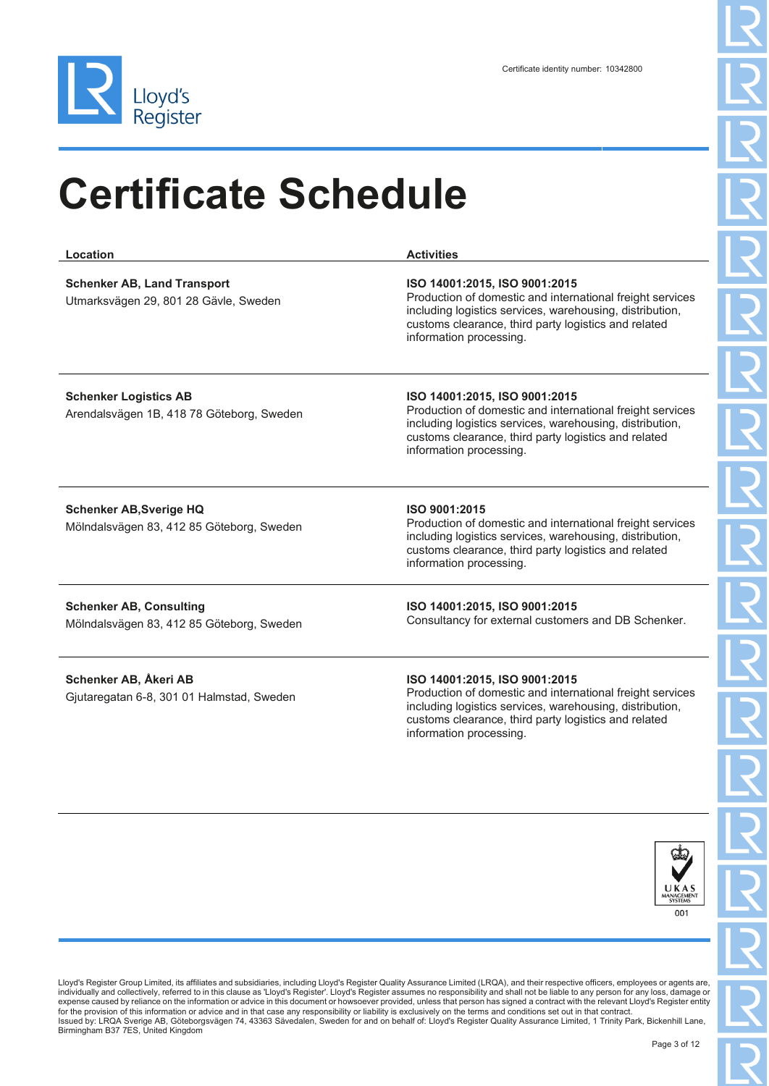

| Location                                                                    | <b>Activities</b>                                                                                                                                                                                                                         |
|-----------------------------------------------------------------------------|-------------------------------------------------------------------------------------------------------------------------------------------------------------------------------------------------------------------------------------------|
| <b>Schenker AB, Land Transport</b><br>Utmarksvägen 29, 801 28 Gävle, Sweden | ISO 14001:2015, ISO 9001:2015<br>Production of domestic and international freight services<br>including logistics services, warehousing, distribution,<br>customs clearance, third party logistics and related<br>information processing. |
| <b>Schenker Logistics AB</b><br>Arendalsvägen 1B, 418 78 Göteborg, Sweden   | ISO 14001:2015, ISO 9001:2015<br>Production of domestic and international freight services<br>including logistics services, warehousing, distribution,<br>customs clearance, third party logistics and related<br>information processing. |
| <b>Schenker AB, Sverige HQ</b><br>Mölndalsvägen 83, 412 85 Göteborg, Sweden | ISO 9001:2015<br>Production of domestic and international freight services<br>including logistics services, warehousing, distribution,<br>customs clearance, third party logistics and related<br>information processing.                 |
| <b>Schenker AB, Consulting</b><br>Mölndalsvägen 83, 412 85 Göteborg, Sweden | ISO 14001:2015, ISO 9001:2015<br>Consultancy for external customers and DB Schenker.                                                                                                                                                      |
| Schenker AB, Åkeri AB<br>Gjutaregatan 6-8, 301 01 Halmstad, Sweden          | ISO 14001:2015, ISO 9001:2015<br>Production of domestic and international freight services<br>including logistics services, warehousing, distribution,<br>customs clearance, third party logistics and related<br>information processing. |

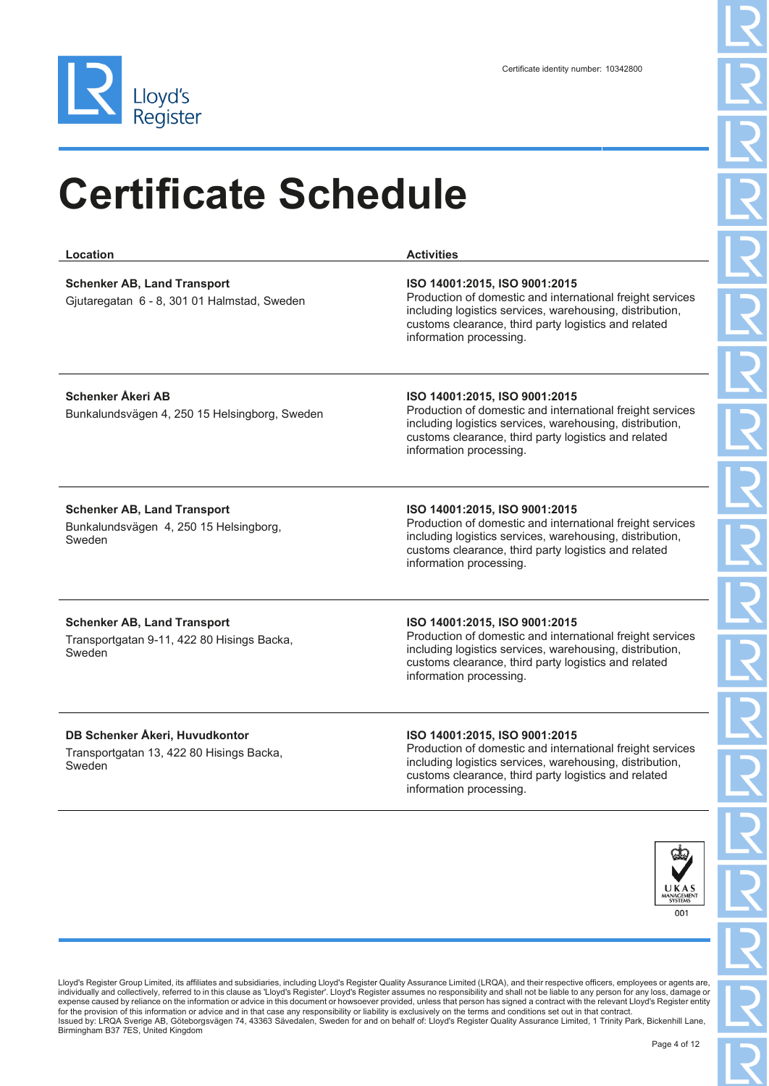

| Location                                                                                   | <b>Activities</b>                                                                                                                                                                                                                         |
|--------------------------------------------------------------------------------------------|-------------------------------------------------------------------------------------------------------------------------------------------------------------------------------------------------------------------------------------------|
| <b>Schenker AB, Land Transport</b><br>Gjutaregatan 6 - 8, 301 01 Halmstad, Sweden          | ISO 14001:2015, ISO 9001:2015<br>Production of domestic and international freight services<br>including logistics services, warehousing, distribution,<br>customs clearance, third party logistics and related<br>information processing. |
| <b>Schenker Åkeri AB</b><br>Bunkalundsvägen 4, 250 15 Helsingborg, Sweden                  | ISO 14001:2015, ISO 9001:2015<br>Production of domestic and international freight services<br>including logistics services, warehousing, distribution,<br>customs clearance, third party logistics and related<br>information processing. |
| <b>Schenker AB, Land Transport</b><br>Bunkalundsvägen 4, 250 15 Helsingborg,<br>Sweden     | ISO 14001:2015, ISO 9001:2015<br>Production of domestic and international freight services<br>including logistics services, warehousing, distribution,<br>customs clearance, third party logistics and related<br>information processing. |
| <b>Schenker AB, Land Transport</b><br>Transportgatan 9-11, 422 80 Hisings Backa,<br>Sweden | ISO 14001:2015, ISO 9001:2015<br>Production of domestic and international freight services<br>including logistics services, warehousing, distribution,<br>customs clearance, third party logistics and related<br>information processing. |
| DB Schenker Åkeri, Huvudkontor<br>Transportgatan 13, 422 80 Hisings Backa,<br>Sweden       | ISO 14001:2015, ISO 9001:2015<br>Production of domestic and international freight services<br>including logistics services, warehousing, distribution,                                                                                    |



customs clearance, third party logistics and related

information processing.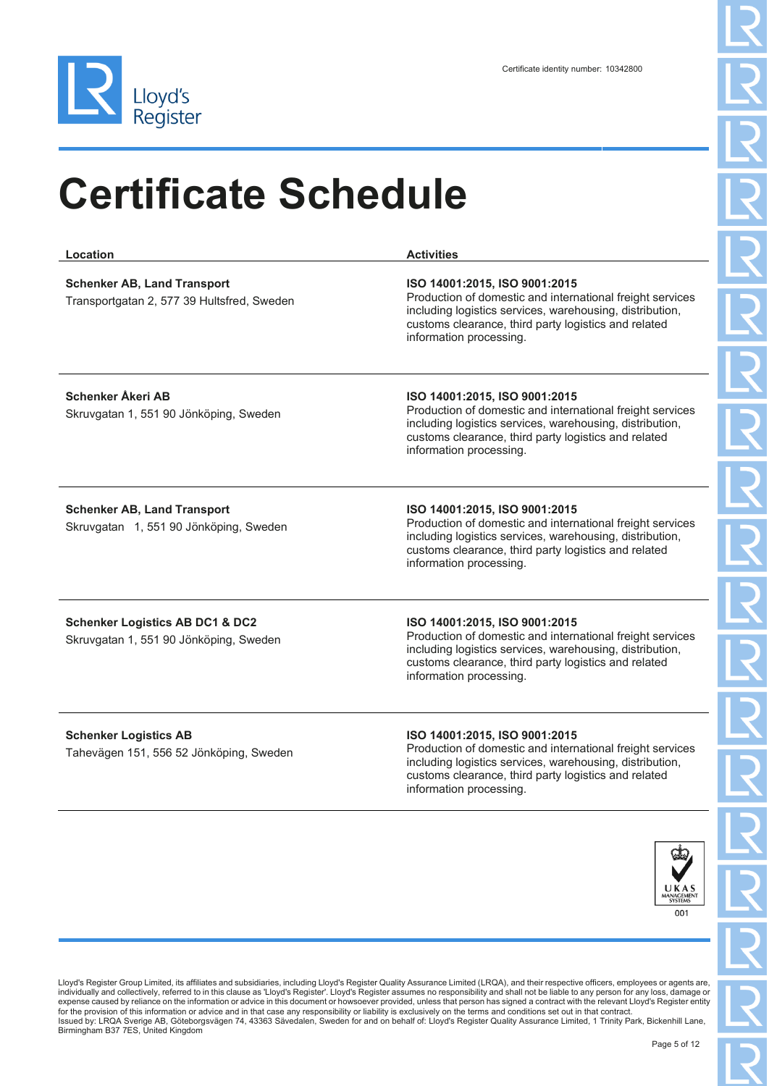

| Location                                                                             | <b>Activities</b>                                                                                                                                                                                                                         |
|--------------------------------------------------------------------------------------|-------------------------------------------------------------------------------------------------------------------------------------------------------------------------------------------------------------------------------------------|
| <b>Schenker AB, Land Transport</b><br>Transportgatan 2, 577 39 Hultsfred, Sweden     | ISO 14001:2015, ISO 9001:2015<br>Production of domestic and international freight services<br>including logistics services, warehousing, distribution,<br>customs clearance, third party logistics and related<br>information processing. |
| <b>Schenker Åkeri AB</b><br>Skruvgatan 1, 551 90 Jönköping, Sweden                   | ISO 14001:2015, ISO 9001:2015<br>Production of domestic and international freight services<br>including logistics services, warehousing, distribution,<br>customs clearance, third party logistics and related<br>information processing. |
| <b>Schenker AB, Land Transport</b><br>Skruvgatan 1, 551 90 Jönköping, Sweden         | ISO 14001:2015, ISO 9001:2015<br>Production of domestic and international freight services<br>including logistics services, warehousing, distribution,<br>customs clearance, third party logistics and related<br>information processing. |
| <b>Schenker Logistics AB DC1 &amp; DC2</b><br>Skruvgatan 1, 551 90 Jönköping, Sweden | ISO 14001:2015, ISO 9001:2015<br>Production of domestic and international freight services<br>including logistics services, warehousing, distribution,<br>customs clearance, third party logistics and related<br>information processing. |
| <b>Schenker Logistics AB</b><br>Tahevägen 151, 556 52 Jönköping, Sweden              | ISO 14001:2015, ISO 9001:2015<br>Production of domestic and international freight services<br>including logistics services, warehousing, distribution,<br>customs clearance, third party logistics and related<br>information processing. |
|                                                                                      | ሎት                                                                                                                                                                                                                                        |

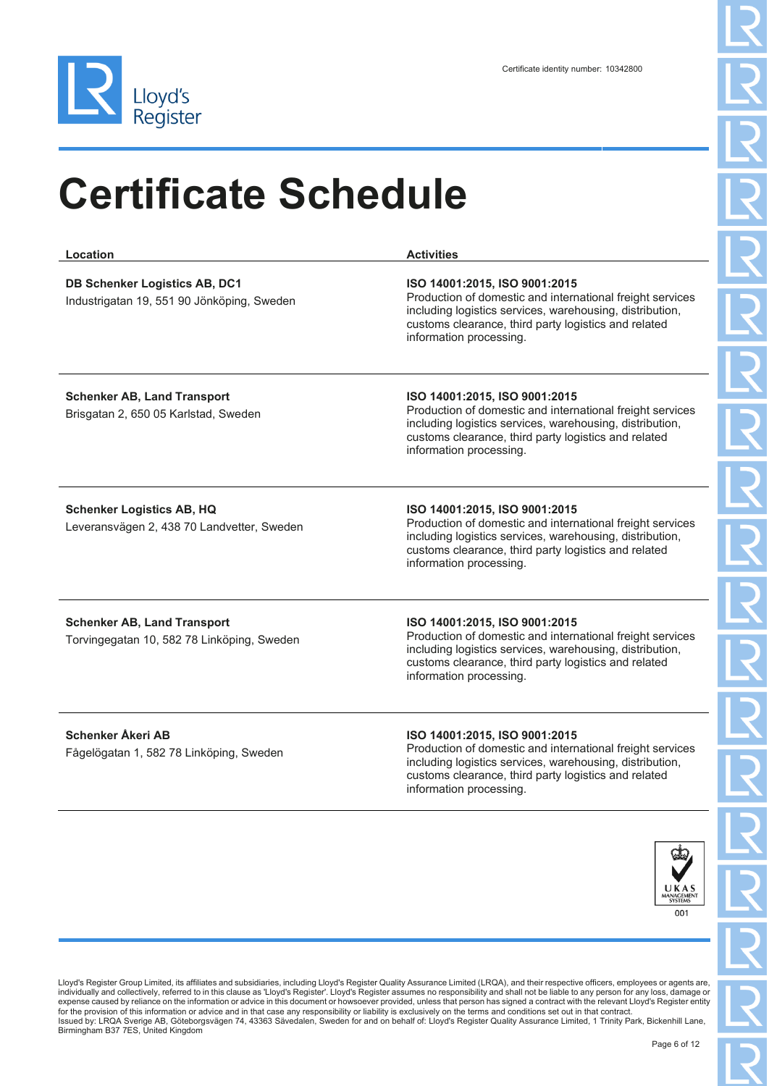

| Location                                                                           | <b>Activities</b>                                                                                                                                                                                                                         |
|------------------------------------------------------------------------------------|-------------------------------------------------------------------------------------------------------------------------------------------------------------------------------------------------------------------------------------------|
| <b>DB Schenker Logistics AB, DC1</b><br>Industrigatan 19, 551 90 Jönköping, Sweden | ISO 14001:2015, ISO 9001:2015<br>Production of domestic and international freight services<br>including logistics services, warehousing, distribution,<br>customs clearance, third party logistics and related<br>information processing. |
| <b>Schenker AB, Land Transport</b><br>Brisgatan 2, 650 05 Karlstad, Sweden         | ISO 14001:2015, ISO 9001:2015<br>Production of domestic and international freight services<br>including logistics services, warehousing, distribution,<br>customs clearance, third party logistics and related<br>information processing. |
| <b>Schenker Logistics AB, HQ</b><br>Leveransvägen 2, 438 70 Landvetter, Sweden     | ISO 14001:2015, ISO 9001:2015<br>Production of domestic and international freight services<br>including logistics services, warehousing, distribution,<br>customs clearance, third party logistics and related<br>information processing. |
| <b>Schenker AB, Land Transport</b><br>Torvingegatan 10, 582 78 Linköping, Sweden   | ISO 14001:2015, ISO 9001:2015<br>Production of domestic and international freight services<br>including logistics services, warehousing, distribution,<br>customs clearance, third party logistics and related<br>information processing. |
| <b>Schenker Åkeri AB</b><br>Fågelögatan 1, 582 78 Linköping, Sweden                | ISO 14001:2015, ISO 9001:2015<br>Production of domestic and international freight services<br>including logistics services, warehousing, distribution,<br>customs clearance, third party logistics and related<br>information processing. |

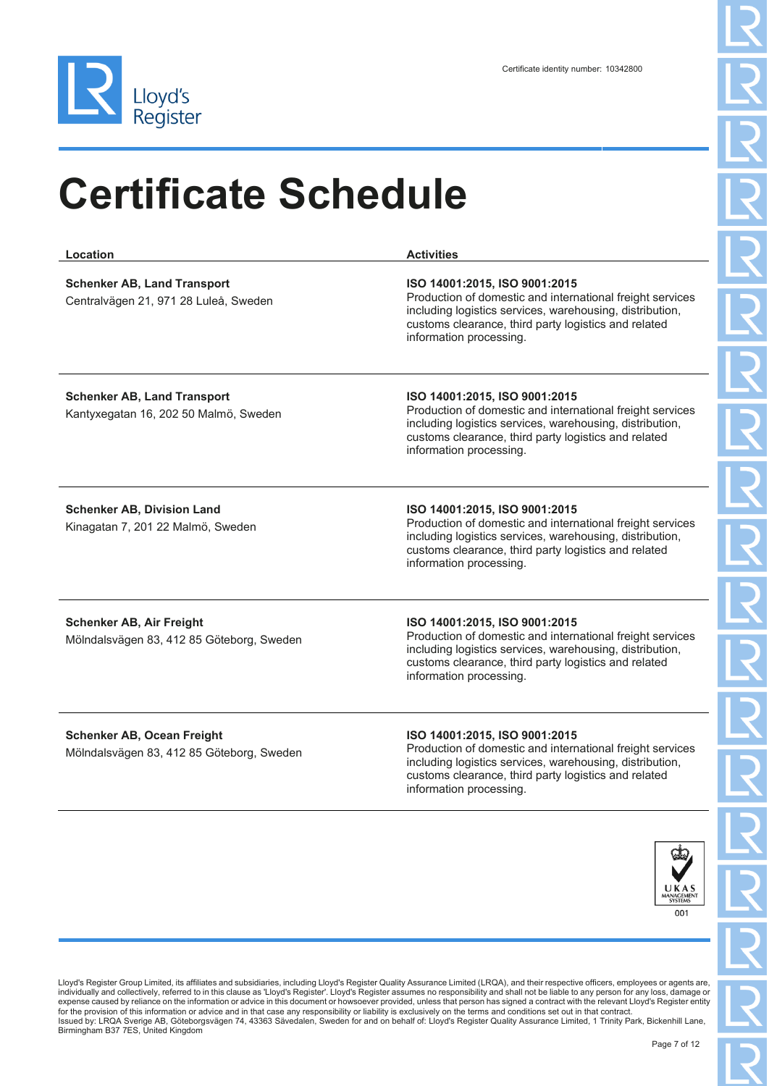

| Location                                                                       | <b>Activities</b>                                                                                                                                                                                                                         |
|--------------------------------------------------------------------------------|-------------------------------------------------------------------------------------------------------------------------------------------------------------------------------------------------------------------------------------------|
| <b>Schenker AB, Land Transport</b><br>Centralvägen 21, 971 28 Luleå, Sweden    | ISO 14001:2015, ISO 9001:2015<br>Production of domestic and international freight services<br>including logistics services, warehousing, distribution,<br>customs clearance, third party logistics and related<br>information processing. |
| <b>Schenker AB, Land Transport</b><br>Kantyxegatan 16, 202 50 Malmö, Sweden    | ISO 14001:2015, ISO 9001:2015<br>Production of domestic and international freight services<br>including logistics services, warehousing, distribution,<br>customs clearance, third party logistics and related<br>information processing. |
| <b>Schenker AB, Division Land</b><br>Kinagatan 7, 201 22 Malmö, Sweden         | ISO 14001:2015, ISO 9001:2015<br>Production of domestic and international freight services<br>including logistics services, warehousing, distribution,<br>customs clearance, third party logistics and related<br>information processing. |
| <b>Schenker AB, Air Freight</b><br>Mölndalsvägen 83, 412 85 Göteborg, Sweden   | ISO 14001:2015, ISO 9001:2015<br>Production of domestic and international freight services<br>including logistics services, warehousing, distribution,<br>customs clearance, third party logistics and related<br>information processing. |
| <b>Schenker AB, Ocean Freight</b><br>Mölndalsvägen 83, 412 85 Göteborg, Sweden | ISO 14001:2015, ISO 9001:2015<br>Production of domestic and international freight services<br>including logistics services, warehousing, distribution,<br>customs clearance, third party logistics and related<br>information processing. |

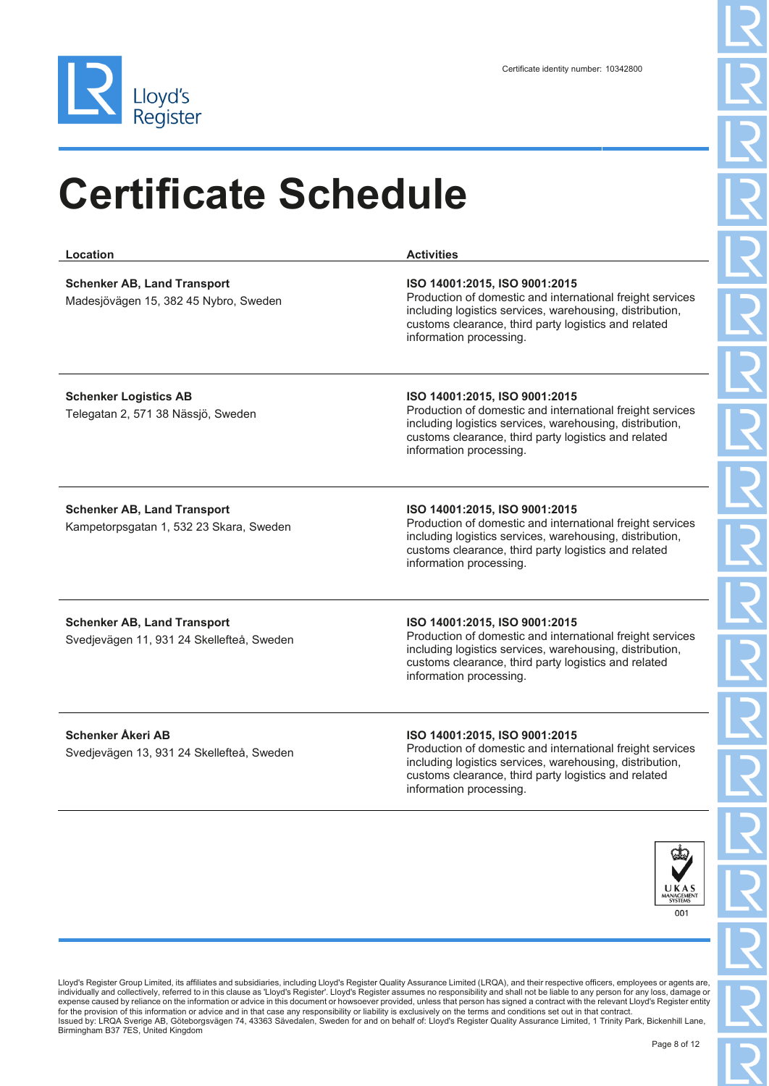

| Location                                                                        | <b>Activities</b>                                                                                                                                                                                                                         |
|---------------------------------------------------------------------------------|-------------------------------------------------------------------------------------------------------------------------------------------------------------------------------------------------------------------------------------------|
| <b>Schenker AB, Land Transport</b><br>Madesjövägen 15, 382 45 Nybro, Sweden     | ISO 14001:2015, ISO 9001:2015<br>Production of domestic and international freight services<br>including logistics services, warehousing, distribution,<br>customs clearance, third party logistics and related<br>information processing. |
| <b>Schenker Logistics AB</b><br>Telegatan 2, 571 38 Nässjö, Sweden              | ISO 14001:2015, ISO 9001:2015<br>Production of domestic and international freight services<br>including logistics services, warehousing, distribution,<br>customs clearance, third party logistics and related<br>information processing. |
| <b>Schenker AB, Land Transport</b><br>Kampetorpsgatan 1, 532 23 Skara, Sweden   | ISO 14001:2015, ISO 9001:2015<br>Production of domestic and international freight services<br>including logistics services, warehousing, distribution,<br>customs clearance, third party logistics and related<br>information processing. |
| <b>Schenker AB, Land Transport</b><br>Svedjevägen 11, 931 24 Skellefteå, Sweden | ISO 14001:2015, ISO 9001:2015<br>Production of domestic and international freight services<br>including logistics services, warehousing, distribution,<br>customs clearance, third party logistics and related<br>information processing. |
| <b>Schenker Åkeri AB</b><br>Svedjevägen 13, 931 24 Skellefteå, Sweden           | ISO 14001:2015, ISO 9001:2015<br>Production of domestic and international freight services<br>including logistics services, warehousing, distribution,<br>customs clearance, third party logistics and related<br>information processing. |
|                                                                                 |                                                                                                                                                                                                                                           |

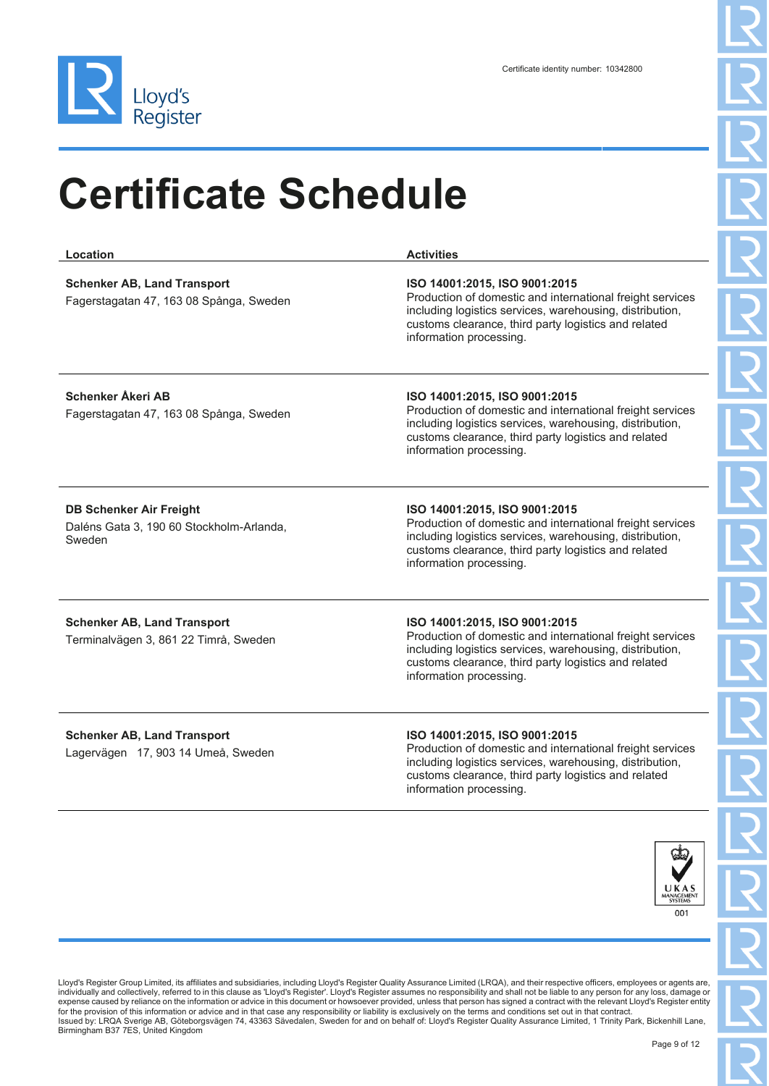

| Location                                                                             | <b>Activities</b>                                                                                                                                                                                                                         |
|--------------------------------------------------------------------------------------|-------------------------------------------------------------------------------------------------------------------------------------------------------------------------------------------------------------------------------------------|
| <b>Schenker AB, Land Transport</b><br>Fagerstagatan 47, 163 08 Spånga, Sweden        | ISO 14001:2015, ISO 9001:2015<br>Production of domestic and international freight services<br>including logistics services, warehousing, distribution,<br>customs clearance, third party logistics and related<br>information processing. |
| <b>Schenker Åkeri AB</b><br>Fagerstagatan 47, 163 08 Spånga, Sweden                  | ISO 14001:2015, ISO 9001:2015<br>Production of domestic and international freight services<br>including logistics services, warehousing, distribution,<br>customs clearance, third party logistics and related<br>information processing. |
| <b>DB Schenker Air Freight</b><br>Daléns Gata 3, 190 60 Stockholm-Arlanda,<br>Sweden | ISO 14001:2015, ISO 9001:2015<br>Production of domestic and international freight services<br>including logistics services, warehousing, distribution,<br>customs clearance, third party logistics and related<br>information processing. |
| <b>Schenker AB, Land Transport</b><br>Terminalvägen 3, 861 22 Timrå, Sweden          | ISO 14001:2015, ISO 9001:2015<br>Production of domestic and international freight services<br>including logistics services, warehousing, distribution,<br>customs clearance, third party logistics and related<br>information processing. |
| <b>Schenker AB, Land Transport</b><br>Lagervägen 17, 903 14 Umeå, Sweden             | ISO 14001:2015, ISO 9001:2015<br>Production of domestic and international freight services<br>including logistics services, warehousing, distribution,<br>customs clearance, third party logistics and related<br>information processing. |
|                                                                                      |                                                                                                                                                                                                                                           |

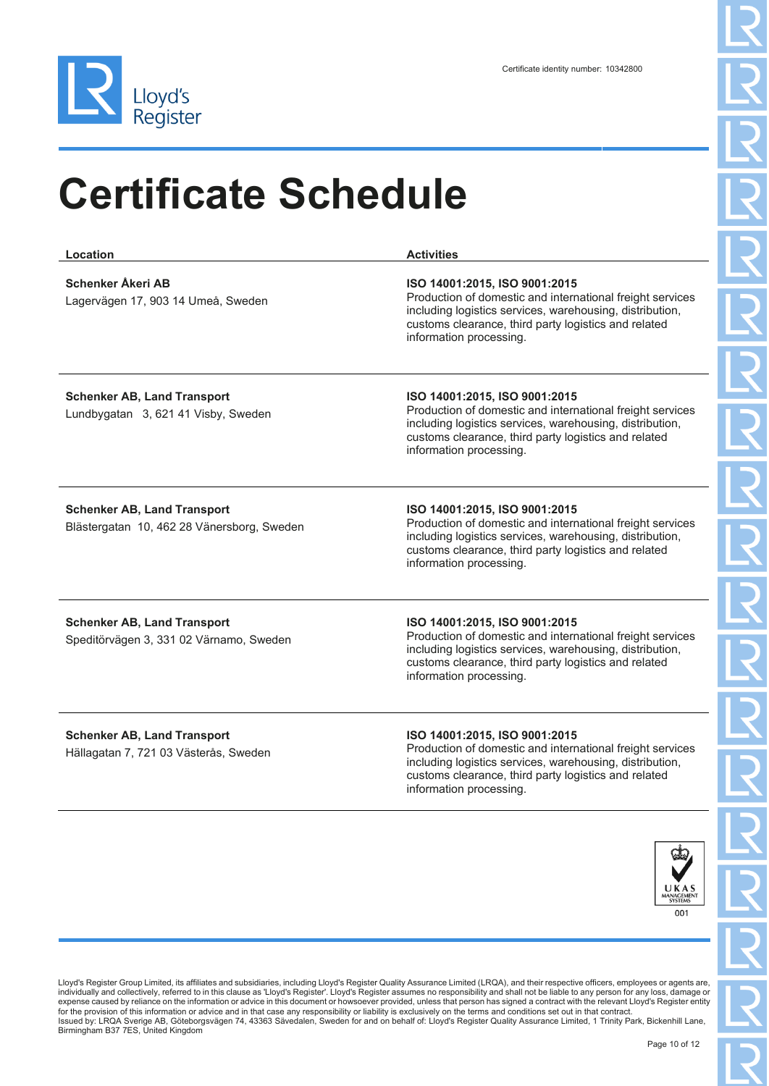

| Location                                                                         | <b>Activities</b>                                                                                                                                                                                                                         |
|----------------------------------------------------------------------------------|-------------------------------------------------------------------------------------------------------------------------------------------------------------------------------------------------------------------------------------------|
| <b>Schenker Åkeri AB</b><br>Lagervägen 17, 903 14 Umeå, Sweden                   | ISO 14001:2015, ISO 9001:2015<br>Production of domestic and international freight services<br>including logistics services, warehousing, distribution,<br>customs clearance, third party logistics and related<br>information processing. |
| <b>Schenker AB, Land Transport</b><br>Lundbygatan 3, 621 41 Visby, Sweden        | ISO 14001:2015, ISO 9001:2015<br>Production of domestic and international freight services<br>including logistics services, warehousing, distribution,<br>customs clearance, third party logistics and related<br>information processing. |
| <b>Schenker AB, Land Transport</b><br>Blästergatan 10, 462 28 Vänersborg, Sweden | ISO 14001:2015, ISO 9001:2015<br>Production of domestic and international freight services<br>including logistics services, warehousing, distribution,<br>customs clearance, third party logistics and related<br>information processing. |
| <b>Schenker AB, Land Transport</b><br>Speditörvägen 3, 331 02 Värnamo, Sweden    | ISO 14001:2015, ISO 9001:2015<br>Production of domestic and international freight services<br>including logistics services, warehousing, distribution,<br>customs clearance, third party logistics and related<br>information processing. |
| <b>Schenker AB, Land Transport</b><br>Hällagatan 7, 721 03 Västerås, Sweden      | ISO 14001:2015, ISO 9001:2015<br>Production of domestic and international freight services<br>including logistics services, warehousing, distribution,<br>customs clearance, third party logistics and related<br>information processing. |

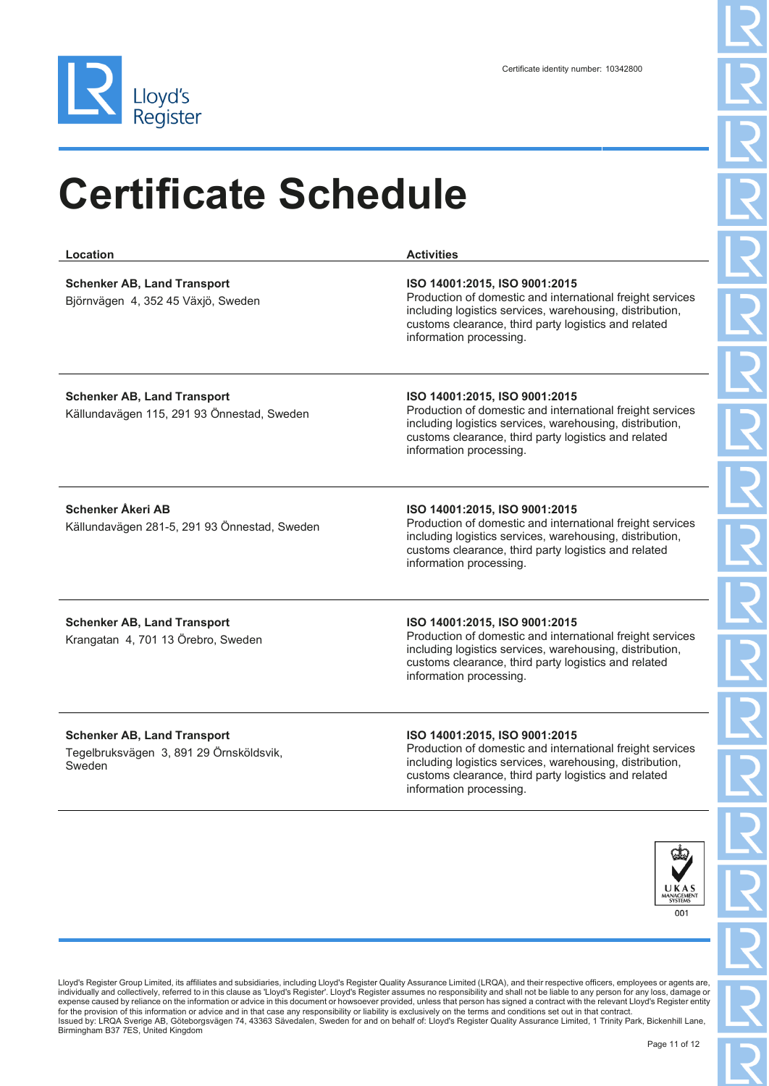

| Location                                                                                | <b>Activities</b>                                                                                                                                                                                                                         |
|-----------------------------------------------------------------------------------------|-------------------------------------------------------------------------------------------------------------------------------------------------------------------------------------------------------------------------------------------|
| <b>Schenker AB, Land Transport</b><br>Björnvägen 4, 352 45 Växjö, Sweden                | ISO 14001:2015, ISO 9001:2015<br>Production of domestic and international freight services<br>including logistics services, warehousing, distribution,<br>customs clearance, third party logistics and related<br>information processing. |
| <b>Schenker AB, Land Transport</b><br>Källundavägen 115, 291 93 Önnestad, Sweden        | ISO 14001:2015, ISO 9001:2015<br>Production of domestic and international freight services<br>including logistics services, warehousing, distribution,<br>customs clearance, third party logistics and related<br>information processing. |
| <b>Schenker Åkeri AB</b><br>Källundavägen 281-5, 291 93 Önnestad, Sweden                | ISO 14001:2015, ISO 9001:2015<br>Production of domestic and international freight services<br>including logistics services, warehousing, distribution,<br>customs clearance, third party logistics and related<br>information processing. |
| <b>Schenker AB, Land Transport</b><br>Krangatan 4, 701 13 Örebro, Sweden                | ISO 14001:2015, ISO 9001:2015<br>Production of domestic and international freight services<br>including logistics services, warehousing, distribution,<br>customs clearance, third party logistics and related<br>information processing. |
| <b>Schenker AB, Land Transport</b><br>Tegelbruksvägen 3, 891 29 Örnsköldsvik,<br>Sweden | ISO 14001:2015, ISO 9001:2015<br>Production of domestic and international freight services<br>including logistics services, warehousing, distribution,<br>customs clearance, third party logistics and related<br>information processing. |